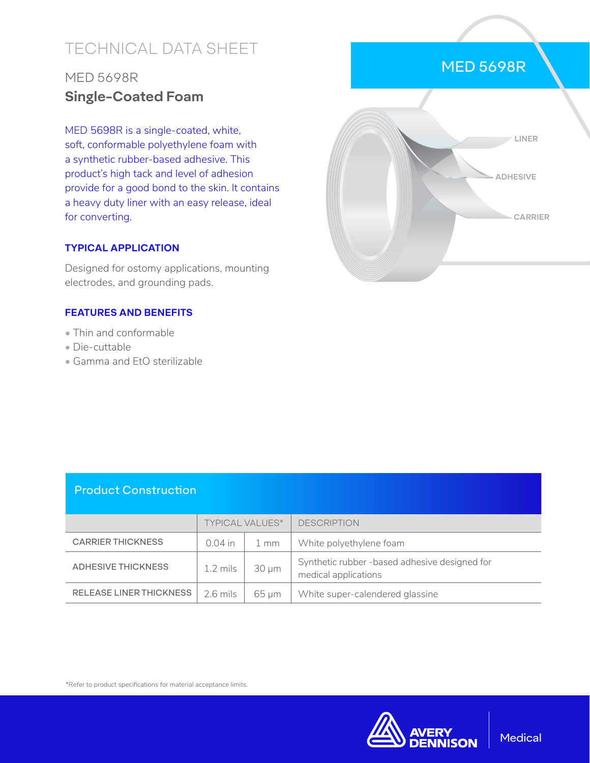# TECHNICAL DATA SHEET

## MED 5698R **Single-Coated Foam**

MED 5698R is a single-coated, white, soft, conformable polyethylene foam with a synthetic rubber-based adhesive. This product's high tack and level of adhesion provide for a good bond to the skin. It contains a heavy duty liner with an easy release, ideal for converting.

#### **TYPICAL APPLICATION**

Designed for ostomy applications, mounting electrodes, and grounding pads.

#### **FEATURES AND BENEFITS**

- Thin and conformable
- Die-cuttable
- Gamma and EtO sterilizable



### Product Construction

|                                | <b>TYPICAL VALUES*</b> |                | <b>DESCRIPTION</b>                                                    |
|--------------------------------|------------------------|----------------|-----------------------------------------------------------------------|
| <b>CARRIER THICKNESS</b>       | $0.04$ in              | $1 \text{ mm}$ | White polyethylene foam                                               |
| <b>ADHESIVE THICKNESS</b>      | $1.2 \text{ miles}$    | $30 \mu m$     | Synthetic rubber -based adhesive designed for<br>medical applications |
| <b>RELEASE LINER THICKNESS</b> | 2.6 mils               | 65 um          | White super-calendered glassine                                       |

\*Refer to product specifications for material acceptance limits.